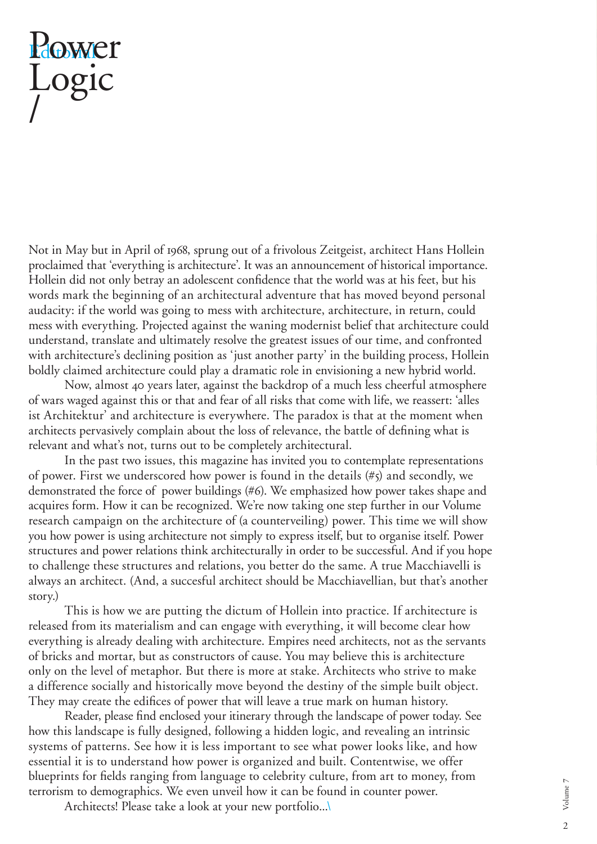## Power Logic /

Not in May but in April of 1968, sprung out of a frivolous Zeitgeist, architect Hans Hollein proclaimed that 'everything is architecture'. It was an announcement of historical importance. Hollein did not only betray an adolescent confidence that the world was at his feet, but his words mark the beginning of an architectural adventure that has moved beyond personal audacity: if the world was going to mess with architecture, architecture, in return, could mess with everything. Projected against the waning modernist belief that architecture could understand, translate and ultimately resolve the greatest issues of our time, and confronted with architecture's declining position as 'just another party' in the building process, Hollein boldly claimed architecture could play a dramatic role in envisioning a new hybrid world.

 Now, almost 40 years later, against the backdrop of a much less cheerful atmosphere of wars waged against this or that and fear of all risks that come with life, we reassert: 'alles ist Architektur' and architecture is everywhere. The paradox is that at the moment when architects pervasively complain about the loss of relevance, the battle of defining what is relevant and what's not, turns out to be completely architectural.

 In the past two issues, this magazine has invited you to contemplate representations of power. First we underscored how power is found in the details (#5) and secondly, we demonstrated the force of power buildings (#6). We emphasized how power takes shape and acquires form. How it can be recognized. We're now taking one step further in our Volume research campaign on the architecture of (a counterveiling) power. This time we will show you how power is using architecture not simply to express itself, but to organise itself. Power structures and power relations think architecturally in order to be successful. And if you hope to challenge these structures and relations, you better do the same. A true Macchiavelli is always an architect. (And, a succesful architect should be Macchiavellian, but that's another story.)

 This is how we are putting the dictum of Hollein into practice. If architecture is released from its materialism and can engage with everything, it will become clear how everything is already dealing with architecture. Empires need architects, not as the servants of bricks and mortar, but as constructors of cause. You may believe this is architecture only on the level of metaphor. But there is more at stake. Architects who strive to make a difference socially and historically move beyond the destiny of the simple built object. They may create the edifices of power that will leave a true mark on human history.

Reader, please find enclosed your itinerary through the landscape of power today. See how this landscape is fully designed, following a hidden logic, and revealing an intrinsic systems of patterns. See how it is less important to see what power looks like, and how essential it is to understand how power is organized and built. Contentwise, we offer blueprints for fields ranging from language to celebrity culture, from art to money, from terrorism to demographics. We even unveil how it can be found in counter power.

Architects! Please take a look at your new portfolio...\